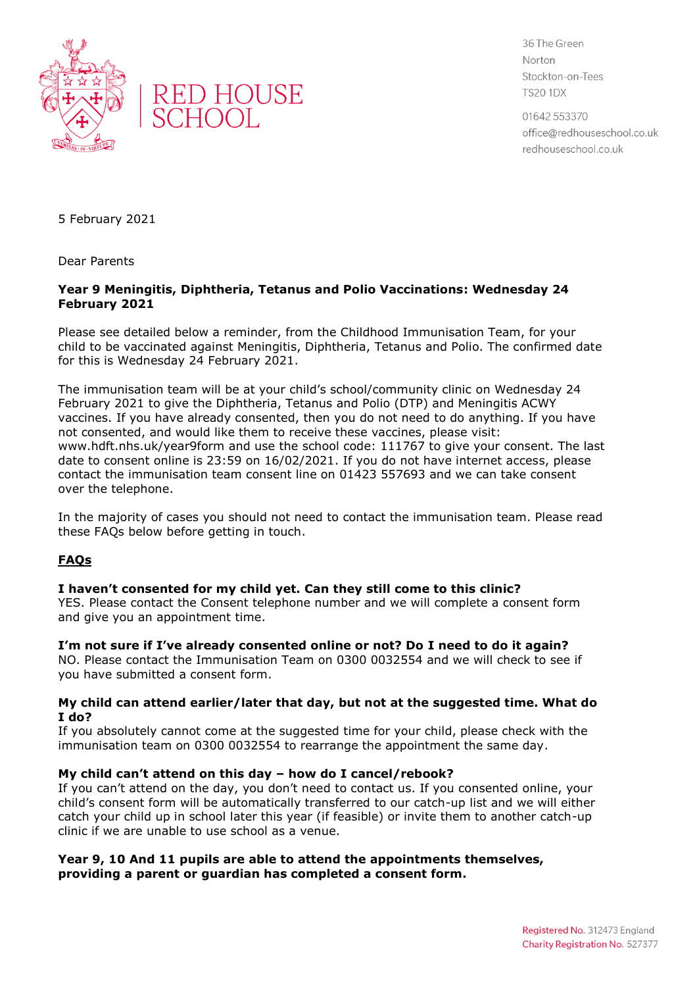



36 The Green Norton Stockton-on-Tees **TS20 1DX** 

01642 553370 office@redhouseschool.co.uk redhouseschool.co.uk

5 February 2021

Dear Parents

## **Year 9 Meningitis, Diphtheria, Tetanus and Polio Vaccinations: Wednesday 24 February 2021**

Please see detailed below a reminder, from the Childhood Immunisation Team, for your child to be vaccinated against Meningitis, Diphtheria, Tetanus and Polio. The confirmed date for this is Wednesday 24 February 2021.

The immunisation team will be at your child's school/community clinic on Wednesday 24 February 2021 to give the Diphtheria, Tetanus and Polio (DTP) and Meningitis ACWY vaccines. If you have already consented, then you do not need to do anything. If you have not consented, and would like them to receive these vaccines, please visit: www.hdft.nhs.uk/year9form and use the school code: 111767 to give your consent. The last date to consent online is 23:59 on 16/02/2021. If you do not have internet access, please contact the immunisation team consent line on 01423 557693 and we can take consent over the telephone.

In the majority of cases you should not need to contact the immunisation team. Please read these FAQs below before getting in touch.

# **FAQs**

# **I haven't consented for my child yet. Can they still come to this clinic?**

YES. Please contact the Consent telephone number and we will complete a consent form and give you an appointment time.

**I'm not sure if I've already consented online or not? Do I need to do it again?** NO. Please contact the Immunisation Team on 0300 0032554 and we will check to see if you have submitted a consent form.

#### **My child can attend earlier/later that day, but not at the suggested time. What do I do?**

If you absolutely cannot come at the suggested time for your child, please check with the immunisation team on 0300 0032554 to rearrange the appointment the same day.

# **My child can't attend on this day – how do I cancel/rebook?**

If you can't attend on the day, you don't need to contact us. If you consented online, your child's consent form will be automatically transferred to our catch-up list and we will either catch your child up in school later this year (if feasible) or invite them to another catch-up clinic if we are unable to use school as a venue.

## **Year 9, 10 And 11 pupils are able to attend the appointments themselves, providing a parent or guardian has completed a consent form.**